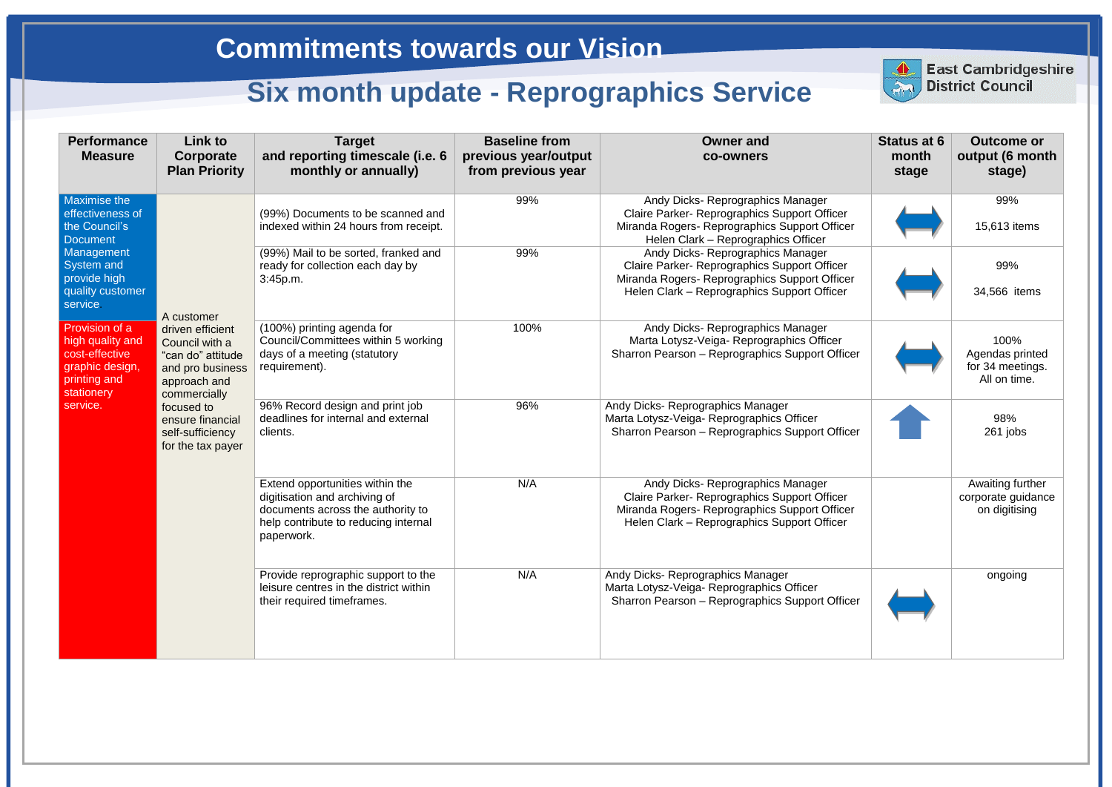| <b>Performance</b><br><b>Measure</b>                                                                                                                    | Link to<br>Corporate<br><b>Plan Priority</b>                                                                                                                                                         | <b>Target</b><br>and reporting timescale (i.e. 6<br>monthly or annually)                                                                                    | <b>Baseline from</b><br>previous year/output<br>from previous year | <b>Owner and</b><br><b>co-owners</b>                                                                                                                                              |
|---------------------------------------------------------------------------------------------------------------------------------------------------------|------------------------------------------------------------------------------------------------------------------------------------------------------------------------------------------------------|-------------------------------------------------------------------------------------------------------------------------------------------------------------|--------------------------------------------------------------------|-----------------------------------------------------------------------------------------------------------------------------------------------------------------------------------|
| <b>Maximise the</b><br>effectiveness of<br>the Council's<br><b>Document</b><br>Management<br>System and<br>provide high<br>quality customer<br>service. | A customer<br>driven efficient<br>Council with a<br>"can do" attitude<br>and pro business<br>approach and<br>commercially<br>focused to<br>ensure financial<br>self-sufficiency<br>for the tax payer | (99%) Documents to be scanned and<br>indexed within 24 hours from receipt.                                                                                  | 99%                                                                | Andy Dicks- Reprographics Manager<br>Claire Parker- Reprographics Support Officer<br>Miranda Rogers- Reprographics Support Officer<br>Helen Clark - Reprographics Officer         |
|                                                                                                                                                         |                                                                                                                                                                                                      | (99%) Mail to be sorted, franked and<br>ready for collection each day by<br>3:45p.m.                                                                        | 99%                                                                | Andy Dicks- Reprographics Manager<br>Claire Parker- Reprographics Support Officer<br>Miranda Rogers- Reprographics Support Officer<br>Helen Clark - Reprographics Support Officer |
| Provision of a<br>high quality and<br>cost-effective<br>graphic design,<br>printing and<br>stationery<br>service.                                       |                                                                                                                                                                                                      | (100%) printing agenda for<br>Council/Committees within 5 working<br>days of a meeting (statutory<br>requirement).                                          | 100%                                                               | Andy Dicks- Reprographics Manager<br>Marta Lotysz-Veiga- Reprographics Officer<br>Sharron Pearson - Reprographics Support Officer                                                 |
|                                                                                                                                                         |                                                                                                                                                                                                      | 96% Record design and print job<br>deadlines for internal and external<br>clients.                                                                          | 96%                                                                | Andy Dicks- Reprographics Manager<br>Marta Lotysz-Veiga- Reprographics Officer<br>Sharron Pearson - Reprographics Support Officer                                                 |
|                                                                                                                                                         |                                                                                                                                                                                                      | Extend opportunities within the<br>digitisation and archiving of<br>documents across the authority to<br>help contribute to reducing internal<br>paperwork. | N/A                                                                | Andy Dicks- Reprographics Manager<br>Claire Parker- Reprographics Support Officer<br>Miranda Rogers- Reprographics Support Officer<br>Helen Clark - Reprographics Support Officer |
|                                                                                                                                                         |                                                                                                                                                                                                      | Provide reprographic support to the<br>leisure centres in the district within<br>their required timeframes.                                                 | N/A                                                                | Andy Dicks- Reprographics Manager<br>Marta Lotysz-Veiga- Reprographics Officer<br>Sharron Pearson - Reprographics Support Officer                                                 |



|                 | <b>Status at 6</b><br>month<br>stage | <b>Outcome or</b><br>output (6 month<br>stage) |
|-----------------|--------------------------------------|------------------------------------------------|
| эr              |                                      | 99%                                            |
| cer             |                                      | 15,613 items                                   |
| эr<br>cer       |                                      | 99%                                            |
| эr              |                                      | 34,566 items                                   |
|                 |                                      | 100%                                           |
| ficer           |                                      | Agendas printed<br>for 34 meetings.            |
|                 |                                      | All on time.                                   |
|                 |                                      | 98%                                            |
| icer            |                                      | 261 jobs                                       |
|                 |                                      | Awaiting further                               |
| эr<br>cer<br>эr |                                      | corporate guidance<br>on digitising            |
|                 |                                      | ongoing                                        |
| icer            |                                      |                                                |
|                 |                                      |                                                |

**East Cambridgeshire District Council**

## **Commitments towards our Vision**

## **Six month update - Reprographics Service**